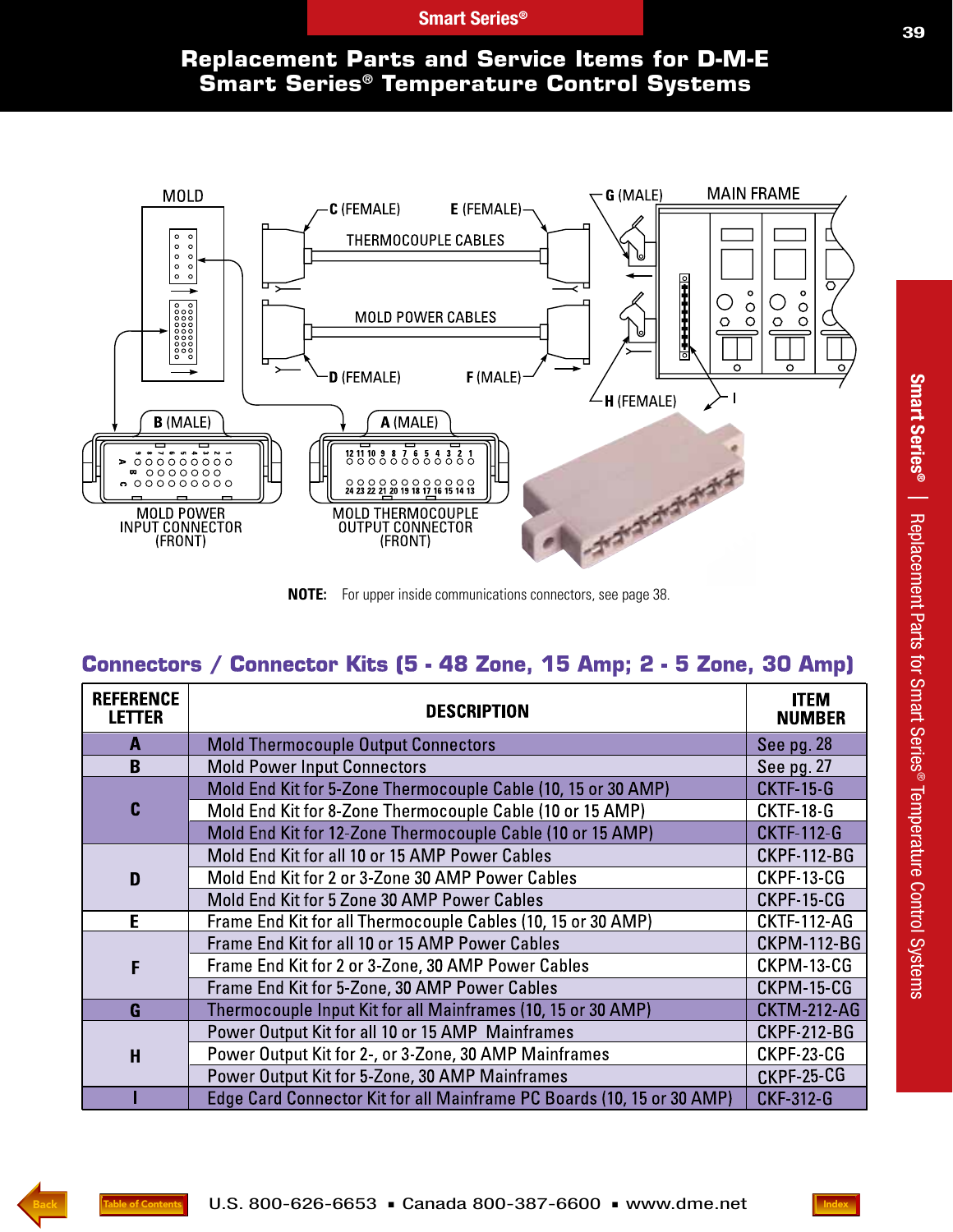### **Replacement Parts and Service Items for D-M-E Smart Series® Temperature Control Systems**



**NOTE:** For upper inside communications connectors, see page 38.

### Connectors / Connector Kits (5 - 48 Zone, 15 Amp; 2 - 5 Zone, 30 Amp)

| <b>REFERENCE</b><br><b>LETTER</b> | <b>DESCRIPTION</b>                                                     | <b>ITEM</b><br><b>NUMBER</b> |
|-----------------------------------|------------------------------------------------------------------------|------------------------------|
| A                                 | <b>Mold Thermocouple Output Connectors</b>                             | See pg. 28                   |
| B                                 | <b>Mold Power Input Connectors</b>                                     | See pg. 27                   |
| C                                 | Mold End Kit for 5-Zone Thermocouple Cable (10, 15 or 30 AMP)          | <b>CKTF-15-G</b>             |
|                                   | Mold End Kit for 8-Zone Thermocouple Cable (10 or 15 AMP)              | <b>CKTF-18-G</b>             |
|                                   | Mold End Kit for 12-Zone Thermocouple Cable (10 or 15 AMP)             | <b>CKTF-112-G</b>            |
|                                   | Mold End Kit for all 10 or 15 AMP Power Cables                         | <b>CKPF-112-BG</b>           |
| D                                 | Mold End Kit for 2 or 3-Zone 30 AMP Power Cables                       | CKPF-13-CG                   |
|                                   | Mold End Kit for 5 Zone 30 AMP Power Cables                            | CKPF-15-CG                   |
| E                                 | Frame End Kit for all Thermocouple Cables (10, 15 or 30 AMP)           | <b>CKTF-112-AG</b>           |
| F                                 | Frame End Kit for all 10 or 15 AMP Power Cables                        | <b>CKPM-112-BG</b>           |
|                                   | Frame End Kit for 2 or 3-Zone, 30 AMP Power Cables                     | CKPM-13-CG                   |
|                                   | Frame End Kit for 5-Zone, 30 AMP Power Cables                          | CKPM-15-CG                   |
| G                                 | Thermocouple Input Kit for all Mainframes (10, 15 or 30 AMP)           | <b>CKTM-212-AG</b>           |
| $\overline{\mathbf{H}}$           | Power Output Kit for all 10 or 15 AMP Mainframes                       | <b>CKPF-212-BG</b>           |
|                                   | Power Output Kit for 2-, or 3-Zone, 30 AMP Mainframes                  | CKPF-23-CG                   |
|                                   | Power Output Kit for 5-Zone, 30 AMP Mainframes                         | CKPF-25-CG                   |
|                                   | Edge Card Connector Kit for all Mainframe PC Boards (10, 15 or 30 AMP) | <b>CKF-312-G</b>             |

**Smart Series**

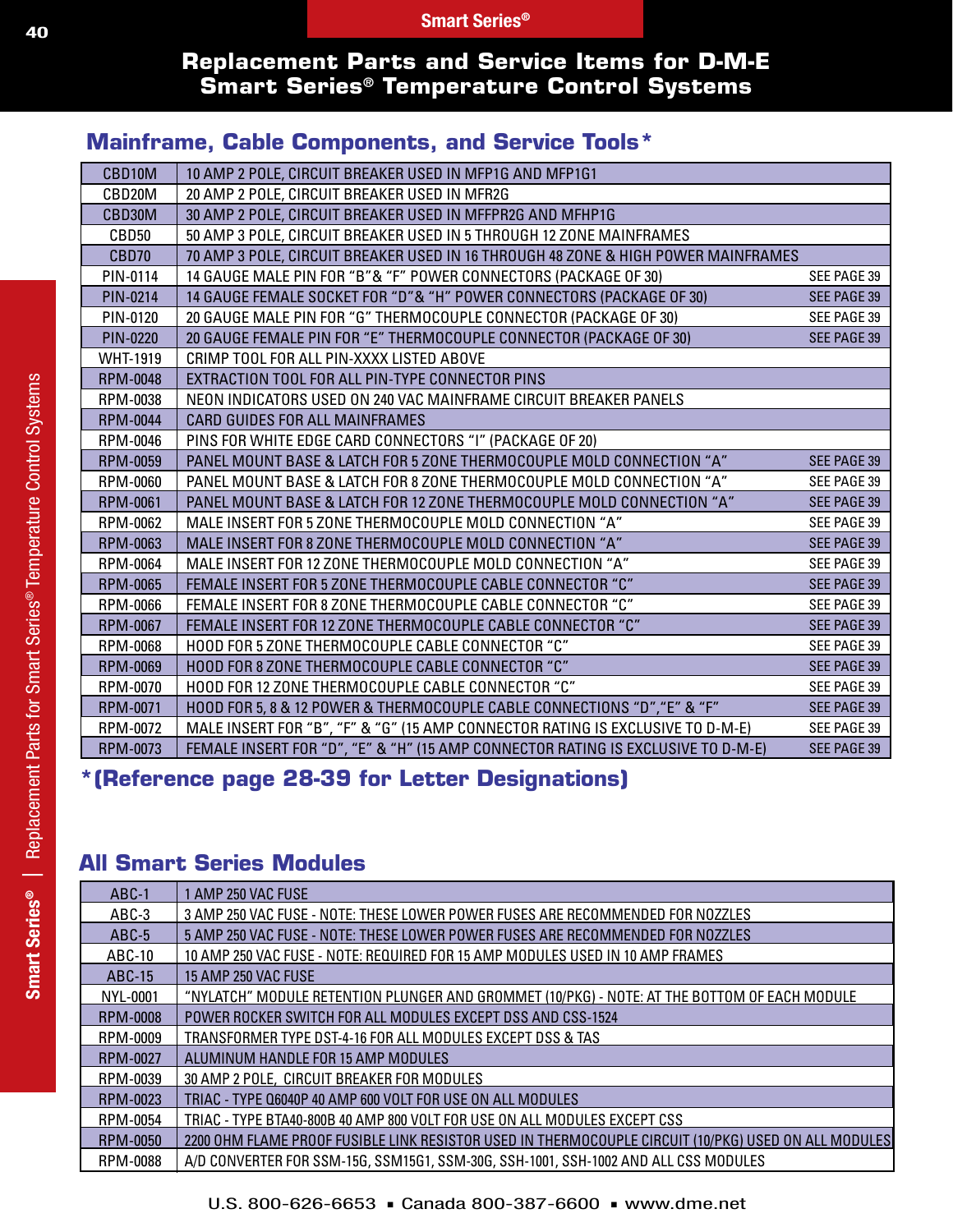#### **Replacement Parts and Service Items for D-M-E Smart Series® Temperature Control Systems**

#### **Mainframe, Cable Components, and Service Tools\***

| CBD10M              | 10 AMP 2 POLE, CIRCUIT BREAKER USED IN MFP1G AND MFP1G1                           |                    |
|---------------------|-----------------------------------------------------------------------------------|--------------------|
| CBD <sub>20</sub> M | 20 AMP 2 POLE, CIRCUIT BREAKER USED IN MFR2G                                      |                    |
| CBD30M              | 30 AMP 2 POLE, CIRCUIT BREAKER USED IN MFFPR2G AND MFHP1G                         |                    |
| CBD50               | 50 AMP 3 POLE, CIRCUIT BREAKER USED IN 5 THROUGH 12 ZONE MAINFRAMES               |                    |
| CBD70               | 70 AMP 3 POLE, CIRCUIT BREAKER USED IN 16 THROUGH 48 ZONE & HIGH POWER MAINFRAMES |                    |
| PIN-0114            | 14 GAUGE MALE PIN FOR "B"& "F" POWER CONNECTORS (PACKAGE OF 30)                   | SEE PAGE 39        |
| PIN-0214            | 14 GAUGE FEMALE SOCKET FOR "D"& "H" POWER CONNECTORS (PACKAGE OF 30)              | <b>SEE PAGE 39</b> |
| PIN-0120            | 20 GAUGE MALE PIN FOR "G" THERMOCOUPLE CONNECTOR (PACKAGE OF 30)                  | SEE PAGE 39        |
| <b>PIN-0220</b>     | 20 GAUGE FEMALE PIN FOR "E" THERMOCOUPLE CONNECTOR (PACKAGE OF 30)                | SEE PAGE 39        |
| <b>WHT-1919</b>     | CRIMP TOOL FOR ALL PIN-XXXX LISTED ABOVE                                          |                    |
| <b>RPM-0048</b>     | EXTRACTION TOOL FOR ALL PIN-TYPE CONNECTOR PINS                                   |                    |
| RPM-0038            | NEON INDICATORS USED ON 240 VAC MAINFRAME CIRCUIT BREAKER PANELS                  |                    |
| <b>RPM-0044</b>     | <b>CARD GUIDES FOR ALL MAINFRAMES</b>                                             |                    |
| RPM-0046            | PINS FOR WHITE EDGE CARD CONNECTORS "I" (PACKAGE OF 20)                           |                    |
| RPM-0059            | PANEL MOUNT BASE & LATCH FOR 5 ZONE THERMOCOUPLE MOLD CONNECTION "A"              | SEE PAGE 39        |
| RPM-0060            | PANEL MOUNT BASE & LATCH FOR 8 ZONE THERMOCOUPLE MOLD CONNECTION "A"              | SEE PAGE 39        |
| <b>RPM-0061</b>     | PANEL MOUNT BASE & LATCH FOR 12 ZONE THERMOCOUPLE MOLD CONNECTION "A"             | <b>SEE PAGE 39</b> |
| RPM-0062            | MALE INSERT FOR 5 ZONE THERMOCOUPLE MOLD CONNECTION "A"                           | SEE PAGE 39        |
| RPM-0063            | MALE INSERT FOR 8 ZONE THERMOCOUPLE MOLD CONNECTION "A"                           | SEE PAGE 39        |
| RPM-0064            | MALE INSERT FOR 12 ZONE THERMOCOUPLE MOLD CONNECTION "A"                          | SEE PAGE 39        |
| <b>RPM-0065</b>     | FEMALE INSERT FOR 5 ZONE THERMOCOUPLE CABLE CONNECTOR "C"                         | <b>SEE PAGE 39</b> |
| RPM-0066            | FEMALE INSERT FOR 8 ZONE THERMOCOUPLE CABLE CONNECTOR "C"                         | SEE PAGE 39        |
| <b>RPM-0067</b>     | FEMALE INSERT FOR 12 ZONE THERMOCOUPLE CABLE CONNECTOR "C"                        | <b>SEE PAGE 39</b> |
| RPM-0068            | HOOD FOR 5 ZONE THERMOCOUPLE CABLE CONNECTOR "C"                                  | SEE PAGE 39        |
| RPM-0069            | HOOD FOR 8 ZONE THERMOCOUPLE CABLE CONNECTOR "C"                                  | SEE PAGE 39        |
| RPM-0070            | HOOD FOR 12 ZONE THERMOCOUPLE CABLE CONNECTOR "C"                                 | SEE PAGE 39        |
| RPM-0071            | HOOD FOR 5, 8 & 12 POWER & THERMOCOUPLE CABLE CONNECTIONS "D", "E" & "F"          | SEE PAGE 39        |
| RPM-0072            | MALE INSERT FOR "B", "F" & "G" (15 AMP CONNECTOR RATING IS EXCLUSIVE TO D-M-E)    | SEE PAGE 39        |
| RPM-0073            | FEMALE INSERT FOR "D", "E" & "H" (15 AMP CONNECTOR RATING IS EXCLUSIVE TO D-M-E)  | <b>SEE PAGE 39</b> |

**\*(Reference page 28-39 for Letter Designations)**

### **All Smart Series Modules**

| ABC-1           | 1 AMP 250 VAC FUSE                                                                                   |
|-----------------|------------------------------------------------------------------------------------------------------|
| ABC-3           | 3 AMP 250 VAC FUSE - NOTE: THESE LOWER POWER FUSES ARE RECOMMENDED FOR NOZZLES                       |
| ABC-5           | 5 AMP 250 VAC FUSE - NOTE: THESE LOWER POWER FUSES ARE RECOMMENDED FOR NOZZLES                       |
| ABC-10          | 10 AMP 250 VAC FUSE - NOTE: REQUIRED FOR 15 AMP MODULES USED IN 10 AMP FRAMES                        |
| ABC-15          | <b>15 AMP 250 VAC FUSE</b>                                                                           |
| NYL-0001        | "NYLATCH" MODULE RETENTION PLUNGER AND GROMMET (10/PKG) - NOTE: AT THE BOTTOM OF EACH MODULE         |
| <b>RPM-0008</b> | POWER ROCKER SWITCH FOR ALL MODULES EXCEPT DSS AND CSS-1524                                          |
| RPM-0009        | TRANSFORMER TYPE DST-4-16 FOR ALL MODULES EXCEPT DSS & TAS                                           |
| <b>RPM-0027</b> | ALUMINUM HANDLE FOR 15 AMP MODULES                                                                   |
| RPM-0039        | 30 AMP 2 POLE, CIRCUIT BREAKER FOR MODULES                                                           |
| <b>RPM-0023</b> | TRIAC - TYPE Q6040P 40 AMP 600 VOLT FOR USE ON ALL MODULES                                           |
| RPM-0054        | TRIAC - TYPE BTA40-800B 40 AMP 800 VOLT FOR USE ON ALL MODULES EXCEPT CSS                            |
| <b>RPM-0050</b> | 2200 OHM FLAME PROOF FUSIBLE LINK RESISTOR USED IN THERMOCOUPLE CIRCUIT (10/PKG) USED ON ALL MODULES |
| RPM-0088        | A/D CONVERTER FOR SSM-15G, SSM15G1, SSM-30G, SSH-1001, SSH-1002 AND ALL CSS MODULES                  |
|                 |                                                                                                      |